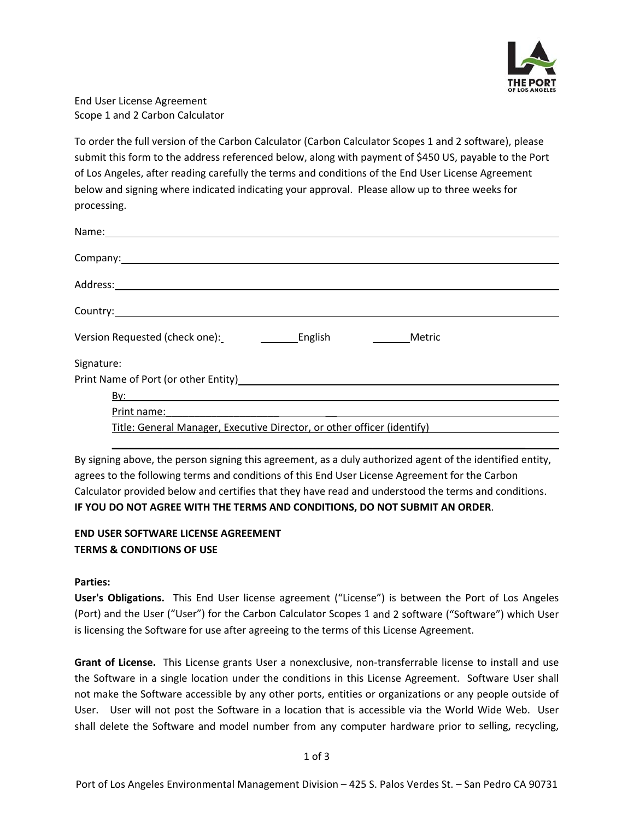

End User License Agreement Scope 1 and 2 Carbon Calculator

To order the full version of the Carbon Calculator (Carbon Calculator Scopes 1 and 2 software), please submit this form to the address referenced below, along with payment of \$450 US, payable to the Port of Los Angeles, after reading carefully the terms and conditions of the End User License Agreement below and signing where indicated indicating your approval. Please allow up to three weeks for processing.

By signing above, the person signing this agreement, as a duly authorized agent of the identified entity, agrees to the following terms and conditions of this End User License Agreement for the Carbon Calculator provided below and certifies that they have read and understood the terms and conditions. **IF YOU DO NOT AGREE WITH THE TERMS AND CONDITIONS, DO NOT SUBMIT AN ORDER**.

## **END USER SOFTWARE LICENSE AGREEMENT TERMS & CONDITIONS OF USE**

## **Parties:**

**User's Obligations.** This End User license agreement ("License") is between the Port of Los Angeles (Port) and the User ("User") for the Carbon Calculator Scopes 1 and 2 software ("Software") which User is licensing the Software for use after agreeing to the terms of this License Agreement.

**Grant of License.** This License grants User a nonexclusive, non‐transferrable license to install and use the Software in a single location under the conditions in this License Agreement. Software User shall not make the Software accessible by any other ports, entities or organizations or any people outside of User. User will not post the Software in a location that is accessible via the World Wide Web. User shall delete the Software and model number from any computer hardware prior to selling, recycling,

1 of 3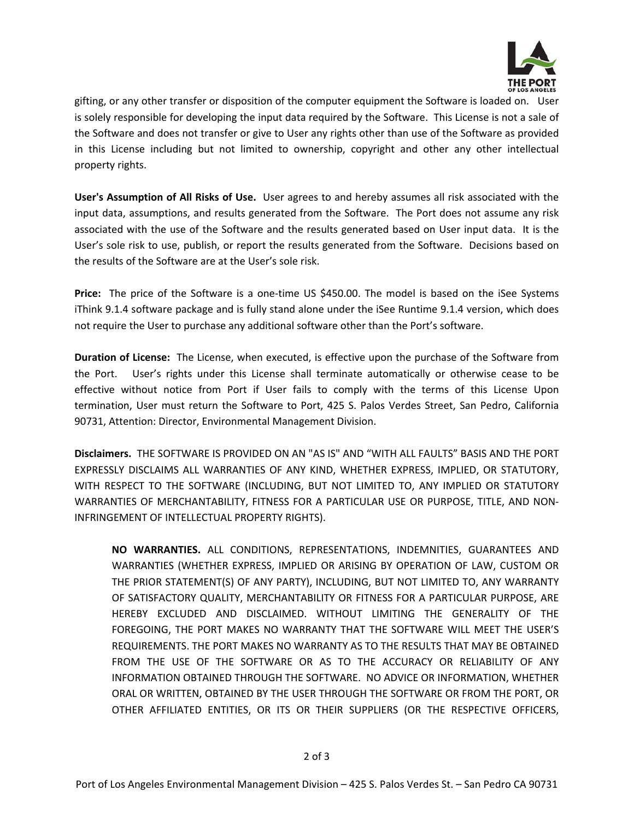

OF LOS ANGELES gifting, or any other transfer or disposition of the computer equipment the Software is loaded on. User is solely responsible for developing the input data required by the Software. This License is not a sale of the Software and does not transfer or give to User any rights other than use of the Software as provided in this License including but not limited to ownership, copyright and other any other intellectual property rights.

**User's Assumption of All Risks of Use.** User agrees to and hereby assumes all risk associated with the input data, assumptions, and results generated from the Software. The Port does not assume any risk associated with the use of the Software and the results generated based on User input data. It is the User's sole risk to use, publish, or report the results generated from the Software. Decisions based on the results of the Software are at the User's sole risk.

**Price:** The price of the Software is a one-time US \$450.00. The model is based on the iSee Systems iThink 9.1.4 software package and is fully stand alone under the iSee Runtime 9.1.4 version, which does not require the User to purchase any additional software other than the Port's software.

**Duration of License:** The License, when executed, is effective upon the purchase of the Software from the Port. User's rights under this License shall terminate automatically or otherwise cease to be effective without notice from Port if User fails to comply with the terms of this License Upon termination, User must return the Software to Port, 425 S. Palos Verdes Street, San Pedro, California 90731, Attention: Director, Environmental Management Division.

**Disclaimers.** THE SOFTWARE IS PROVIDED ON AN "AS IS" AND "WITH ALL FAULTS" BASIS AND THE PORT EXPRESSLY DISCLAIMS ALL WARRANTIES OF ANY KIND, WHETHER EXPRESS, IMPLIED, OR STATUTORY, WITH RESPECT TO THE SOFTWARE (INCLUDING, BUT NOT LIMITED TO, ANY IMPLIED OR STATUTORY WARRANTIES OF MERCHANTABILITY, FITNESS FOR A PARTICULAR USE OR PURPOSE, TITLE, AND NON‐ INFRINGEMENT OF INTELLECTUAL PROPERTY RIGHTS).

**NO WARRANTIES.** ALL CONDITIONS, REPRESENTATIONS, INDEMNITIES, GUARANTEES AND WARRANTIES (WHETHER EXPRESS, IMPLIED OR ARISING BY OPERATION OF LAW, CUSTOM OR THE PRIOR STATEMENT(S) OF ANY PARTY), INCLUDING, BUT NOT LIMITED TO, ANY WARRANTY OF SATISFACTORY QUALITY, MERCHANTABILITY OR FITNESS FOR A PARTICULAR PURPOSE, ARE HEREBY EXCLUDED AND DISCLAIMED. WITHOUT LIMITING THE GENERALITY OF THE FOREGOING, THE PORT MAKES NO WARRANTY THAT THE SOFTWARE WILL MEET THE USER'S REQUIREMENTS. THE PORT MAKES NO WARRANTY AS TO THE RESULTS THAT MAY BE OBTAINED FROM THE USE OF THE SOFTWARE OR AS TO THE ACCURACY OR RELIABILITY OF ANY INFORMATION OBTAINED THROUGH THE SOFTWARE. NO ADVICE OR INFORMATION, WHETHER ORAL OR WRITTEN, OBTAINED BY THE USER THROUGH THE SOFTWARE OR FROM THE PORT, OR OTHER AFFILIATED ENTITIES, OR ITS OR THEIR SUPPLIERS (OR THE RESPECTIVE OFFICERS,